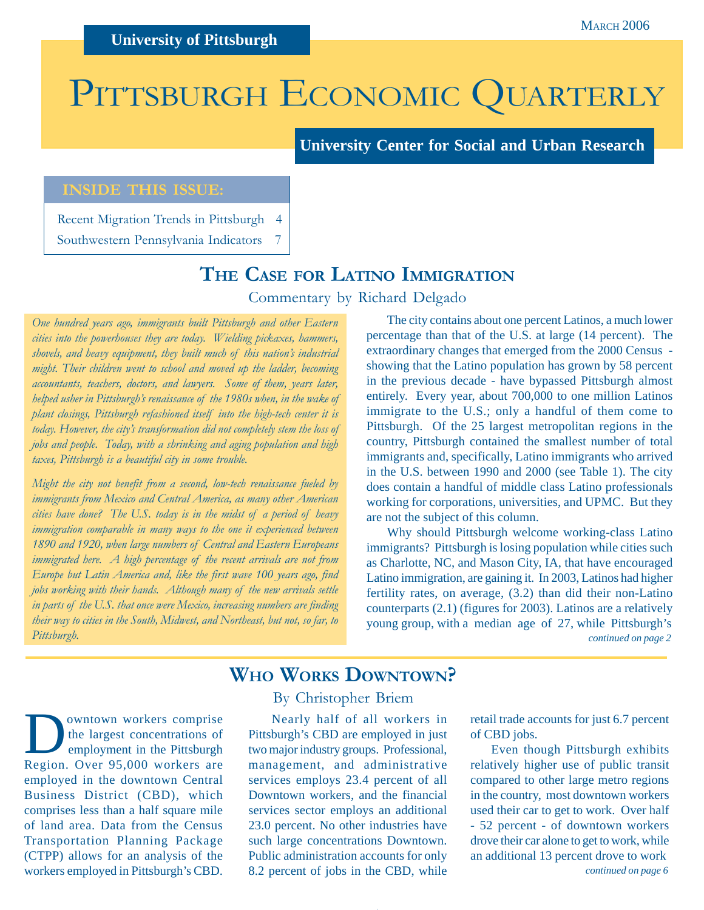# PITTSBURGH ECONOMIC QUARTERLY

**University Center for Social and Urban Research**

### **INSIDE THIS ISSUE:**

Recent Migration Trends in Pittsburgh 4 Southwestern Pennsylvania Indicators 7

# **THE CASE FOR LATINO IMMIGRATION**

Commentary by Richard Delgado

*One hundred years ago, immigrants built Pittsburgh and other Eastern cities into the powerhouses they are today. Wielding pickaxes, hammers, shovels, and heavy equipment, they built much of this nation's industrial might. Their children went to school and moved up the ladder, becoming accountants, teachers, doctors, and lawyers. Some of them, years later, helped usher in Pittsburgh's renaissance of the 1980s when, in the wake of plant closings, Pittsburgh refashioned itself into the high-tech center it is today. However, the city's transformation did not completely stem the loss of jobs and people. Today, with a shrinking and aging population and high taxes, Pittsburgh is a beautiful city in some trouble.*

*Might the city not benefit from a second, low-tech renaissance fueled by immigrants from Mexico and Central America, as many other American cities have done? The U.S. today is in the midst of a period of heavy immigration comparable in many ways to the one it experienced between 1890 and 1920, when large numbers of Central and Eastern Europeans immigrated here. A high percentage of the recent arrivals are not from Europe but Latin America and, like the first wave 100 years ago, find jobs working with their hands. Although many of the new arrivals settle in parts of the U.S. that once were Mexico, increasing numbers are finding their way to cities in the South, Midwest, and Northeast, but not, so far, to Pittsburgh.*

The city contains about one percent Latinos, a much lower percentage than that of the U.S. at large (14 percent). The extraordinary changes that emerged from the 2000 Census showing that the Latino population has grown by 58 percent in the previous decade - have bypassed Pittsburgh almost entirely. Every year, about 700,000 to one million Latinos immigrate to the U.S.; only a handful of them come to Pittsburgh. Of the 25 largest metropolitan regions in the country, Pittsburgh contained the smallest number of total immigrants and, specifically, Latino immigrants who arrived in the U.S. between 1990 and 2000 (see Table 1). The city does contain a handful of middle class Latino professionals working for corporations, universities, and UPMC. But they are not the subject of this column.

*continued on page 2* Why should Pittsburgh welcome working-class Latino immigrants? Pittsburgh is losing population while cities such as Charlotte, NC, and Mason City, IA, that have encouraged Latino immigration, are gaining it. In 2003, Latinos had higher fertility rates, on average, (3.2) than did their non-Latino counterparts (2.1) (figures for 2003). Latinos are a relatively young group, with a median age of 27, while Pittsburgh's

## **WHO WORKS DOWNTOWN?**

**D** owntown workers comprise<br>the largest concentrations of<br>employment in the Pittsburgh<br>Pagion, Over 05,000 workers are the largest concentrations of Region. Over 95,000 workers are employed in the downtown Central Business District (CBD), which comprises less than a half square mile of land area. Data from the Census Transportation Planning Package (CTPP) allows for an analysis of the workers employed in Pittsburgh's CBD.

#### By Christopher Briem

Nearly half of all workers in Pittsburgh's CBD are employed in just two major industry groups. Professional, management, and administrative services employs 23.4 percent of all Downtown workers, and the financial services sector employs an additional 23.0 percent. No other industries have such large concentrations Downtown. Public administration accounts for only 8.2 percent of jobs in the CBD, while

retail trade accounts for just 6.7 percent of CBD jobs.

*continued on page 6* Even though Pittsburgh exhibits relatively higher use of public transit compared to other large metro regions in the country, most downtown workers used their car to get to work. Over half - 52 percent - of downtown workers drove their car alone to get to work, while an additional 13 percent drove to work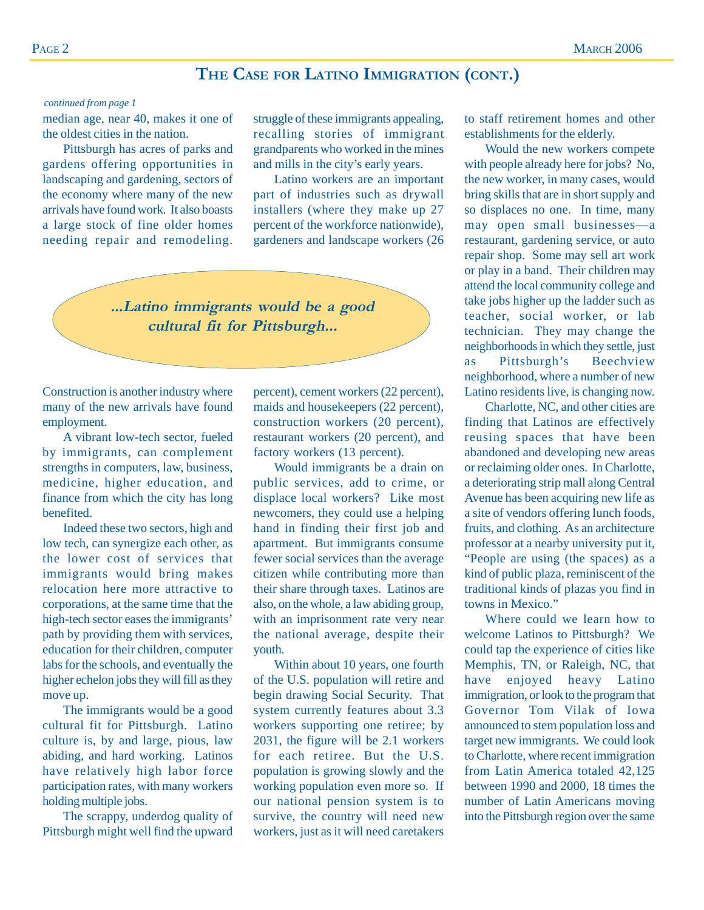# **THE CASE FOR LATINO IMMIGRATION (CONT.)**

#### *continued from page 1*

median age, near 40, makes it one of the oldest cities in the nation.

Pittsburgh has acres of parks and gardens offering opportunities in landscaping and gardening, sectors of the economy where many of the new arrivals have found work. It also boasts a large stock of fine older homes needing repair and remodeling. struggle of these immigrants appealing, recalling stories of immigrant grandparents who worked in the mines and mills in the city's early years.

Latino workers are an important part of industries such as drywall installers (where they make up 27 percent of the workforce nationwide), gardeners and landscape workers (26



Construction is another industry where many of the new arrivals have found employment.

A vibrant low-tech sector, fueled by immigrants, can complement strengths in computers, law, business, medicine, higher education, and finance from which the city has long benefited.

Indeed these two sectors, high and low tech, can synergize each other, as the lower cost of services that immigrants would bring makes relocation here more attractive to corporations, at the same time that the high-tech sector eases the immigrants' path by providing them with services, education for their children, computer labs for the schools, and eventually the higher echelon jobs they will fill as they move up.

The immigrants would be a good cultural fit for Pittsburgh. Latino culture is, by and large, pious, law abiding, and hard working. Latinos have relatively high labor force participation rates, with many workers holding multiple jobs.

The scrappy, underdog quality of Pittsburgh might well find the upward percent), cement workers (22 percent), maids and housekeepers (22 percent), construction workers (20 percent), restaurant workers (20 percent), and factory workers (13 percent).

Would immigrants be a drain on public services, add to crime, or displace local workers? Like most newcomers, they could use a helping hand in finding their first job and apartment. But immigrants consume fewer social services than the average citizen while contributing more than their share through taxes. Latinos are also, on the whole, a law abiding group, with an imprisonment rate very near the national average, despite their youth.

Within about 10 years, one fourth of the U.S. population will retire and begin drawing Social Security. That system currently features about 3.3 workers supporting one retiree; by 2031, the figure will be 2.1 workers for each retiree. But the U.S. population is growing slowly and the working population even more so. If our national pension system is to survive, the country will need new workers, just as it will need caretakers to staff retirement homes and other establishments for the elderly.

Would the new workers compete with people already here for jobs? No, the new worker, in many cases, would bring skills that are in short supply and so displaces no one. In time, many may open small businesses—a restaurant, gardening service, or auto repair shop. Some may sell art work or play in a band. Their children may attend the local community college and take jobs higher up the ladder such as teacher, social worker, or lab technician. They may change the neighborhoods in which they settle, just as Pittsburgh's Beechview neighborhood, where a number of new Latino residents live, is changing now.

Charlotte, NC, and other cities are finding that Latinos are effectively reusing spaces that have been abandoned and developing new areas or reclaiming older ones. In Charlotte, a deteriorating strip mall along Central Avenue has been acquiring new life as a site of vendors offering lunch foods, fruits, and clothing. As an architecture professor at a nearby university put it, "People are using (the spaces) as a kind of public plaza, reminiscent of the traditional kinds of plazas you find in towns in Mexico."

Where could we learn how to welcome Latinos to Pittsburgh? We could tap the experience of cities like Memphis, TN, or Raleigh, NC, that have enjoyed heavy Latino immigration, or look to the program that Governor Tom Vilak of Iowa announced to stem population loss and target new immigrants. We could look to Charlotte, where recent immigration from Latin America totaled 42,125 between 1990 and 2000, 18 times the number of Latin Americans moving into the Pittsburgh region over the same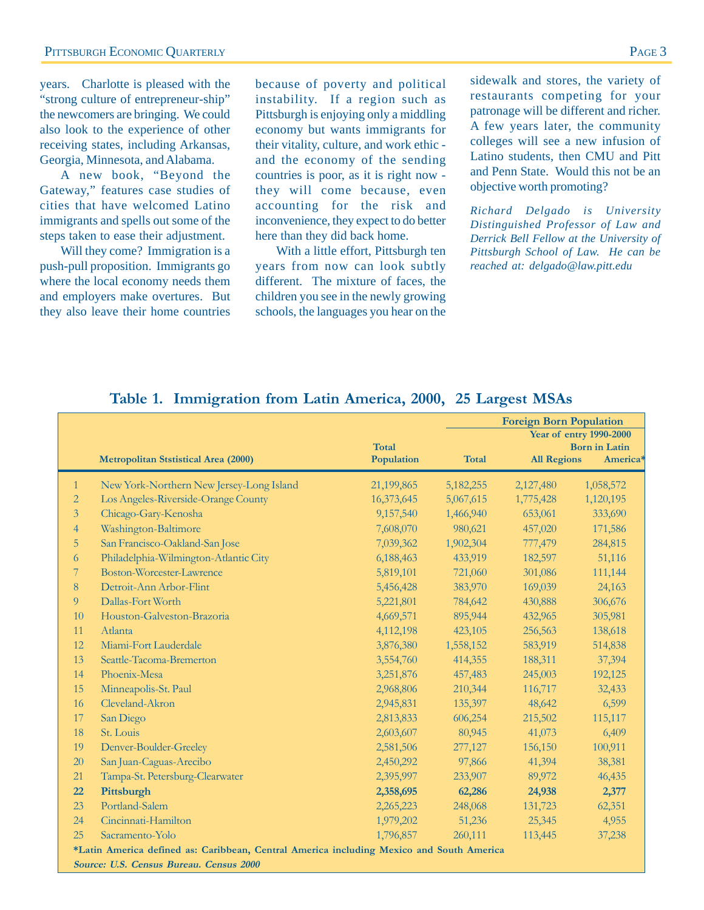years. Charlotte is pleased with the "strong culture of entrepreneur-ship" the newcomers are bringing. We could also look to the experience of other receiving states, including Arkansas, Georgia, Minnesota, and Alabama.

A new book, "Beyond the Gateway," features case studies of cities that have welcomed Latino immigrants and spells out some of the steps taken to ease their adjustment.

Will they come? Immigration is a push-pull proposition. Immigrants go where the local economy needs them and employers make overtures. But they also leave their home countries

because of poverty and political instability. If a region such as Pittsburgh is enjoying only a middling economy but wants immigrants for their vitality, culture, and work ethic and the economy of the sending countries is poor, as it is right now they will come because, even accounting for the risk and inconvenience, they expect to do better here than they did back home.

With a little effort, Pittsburgh ten years from now can look subtly different. The mixture of faces, the children you see in the newly growing schools, the languages you hear on the sidewalk and stores, the variety of restaurants competing for your patronage will be different and richer. A few years later, the community colleges will see a new infusion of Latino students, then CMU and Pitt and Penn State. Would this not be an objective worth promoting?

*Richard Delgado is University Distinguished Professor of Law and Derrick Bell Fellow at the University of Pittsburgh School of Law. He can be reached at: delgado@law.pitt.edu*

#### **Table 1. Immigration from Latin America, 2000, 25 Largest MSAs**

|                                                                                                                                     |                                             | <b>Total</b> |             | <b>Foreign Born Population</b> | <b>Year of entry 1990-2000</b><br><b>Born</b> in Latin |
|-------------------------------------------------------------------------------------------------------------------------------------|---------------------------------------------|--------------|-------------|--------------------------------|--------------------------------------------------------|
|                                                                                                                                     | <b>Metropolitan Ststistical Area (2000)</b> | Population   | Total       | <b>All Regions</b>             | America*                                               |
| $\mathbf{1}$                                                                                                                        | New York-Northern New Jersey-Long Island    | 21,199,865   | 5, 182, 255 | 2,127,480                      | 1,058,572                                              |
| $\overline{2}$                                                                                                                      | Los Angeles-Riverside-Orange County         | 16,373,645   | 5,067,615   | 1,775,428                      | 1,120,195                                              |
| 3                                                                                                                                   | Chicago-Gary-Kenosha                        | 9,157,540    | 1,466,940   | 653,061                        | 333,690                                                |
| $\overline{4}$                                                                                                                      | Washington-Baltimore                        | 7,608,070    | 980,621     | 457,020                        | 171,586                                                |
| 5                                                                                                                                   | San Francisco-Oakland-San Jose              | 7,039,362    | 1,902,304   | 777,479                        | 284,815                                                |
| 6                                                                                                                                   | Philadelphia-Wilmington-Atlantic City       | 6,188,463    | 433,919     | 182,597                        | 51,116                                                 |
| 7                                                                                                                                   | Boston-Worcester-Lawrence                   | 5,819,101    | 721,060     | 301,086                        | 111,144                                                |
| 8                                                                                                                                   | Detroit-Ann Arbor-Flint                     | 5,456,428    | 383,970     | 169,039                        | 24,163                                                 |
| $\overline{9}$                                                                                                                      | Dallas-Fort Worth                           | 5,221,801    | 784,642     | 430,888                        | 306,676                                                |
| 10                                                                                                                                  | Houston-Galveston-Brazoria                  | 4,669,571    | 895,944     | 432,965                        | 305,981                                                |
| 11                                                                                                                                  | Atlanta                                     | 4,112,198    | 423,105     | 256,563                        | 138,618                                                |
| 12                                                                                                                                  | Miami-Fort Lauderdale                       | 3,876,380    | 1,558,152   | 583,919                        | 514,838                                                |
| 13                                                                                                                                  | Seattle-Tacoma-Bremerton                    | 3,554,760    | 414,355     | 188,311                        | 37,394                                                 |
| 14                                                                                                                                  | Phoenix-Mesa                                | 3,251,876    | 457,483     | 245,003                        | 192,125                                                |
| 15                                                                                                                                  | Minneapolis-St. Paul                        | 2,968,806    | 210,344     | 116,717                        | 32,433                                                 |
| 16                                                                                                                                  | Cleveland-Akron                             | 2,945,831    | 135,397     | 48,642                         | 6,599                                                  |
| 17                                                                                                                                  | San Diego                                   | 2,813,833    | 606,254     | 215,502                        | 115,117                                                |
| 18                                                                                                                                  | St. Louis                                   | 2,603,607    | 80,945      | 41,073                         | 6,409                                                  |
| 19                                                                                                                                  | Denver-Boulder-Greeley                      | 2,581,506    | 277,127     | 156,150                        | 100,911                                                |
| 20                                                                                                                                  | San Juan-Caguas-Arecibo                     | 2,450,292    | 97,866      | 41,394                         | 38,381                                                 |
| 21                                                                                                                                  | Tampa-St. Petersburg-Clearwater             | 2,395,997    | 233,907     | 89,972                         | 46,435                                                 |
| 22                                                                                                                                  | Pittsburgh                                  | 2,358,695    | 62,286      | 24,938                         | 2,377                                                  |
| 23                                                                                                                                  | Portland-Salem                              | 2,265,223    | 248,068     | 131,723                        | 62,351                                                 |
| 24                                                                                                                                  | Cincinnati-Hamilton                         | 1,979,202    | 51,236      | 25,345                         | 4,955                                                  |
| 25                                                                                                                                  | Sacramento-Yolo                             | 1,796,857    | 260,111     | 113,445                        | 37,238                                                 |
| *Latin America defined as: Caribbean, Central America including Mexico and South America<br>Source: U.S. Census Bureau, Census 2000 |                                             |              |             |                                |                                                        |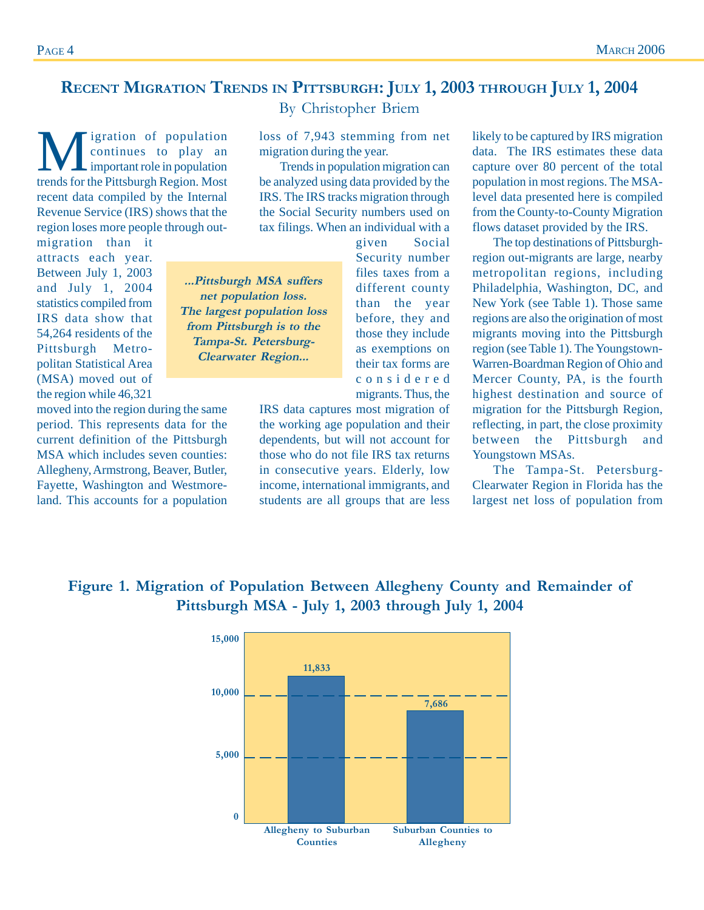# **RECENT MIGRATION TRENDS IN PITTSBURGH: JULY 1, 2003 THROUGH JULY 1, 2004**

**M**igration of population<br>continues to play an<br>tronds for the Bitteburgh Posion Most continues to play an important role in population trends for the Pittsburgh Region. Most recent data compiled by the Internal Revenue Service (IRS) shows that the region loses more people through out-

migration than it attracts each year. Between July 1, 2003 and July 1, 2004 statistics compiled from IRS data show that 54,264 residents of the Pittsburgh Metropolitan Statistical Area (MSA) moved out of the region while 46,321

moved into the region during the same period. This represents data for the current definition of the Pittsburgh MSA which includes seven counties: Allegheny, Armstrong, Beaver, Butler, Fayette, Washington and Westmoreland. This accounts for a population By Christopher Briem

loss of 7,943 stemming from net migration during the year.

Trends in population migration can be analyzed using data provided by the IRS. The IRS tracks migration through the Social Security numbers used on tax filings. When an individual with a

given Social Security number files taxes from a different county than the year before, they and those they include as exemptions on their tax forms are considered **...Pittsburgh MSA suffers net population loss. The largest population loss from Pittsburgh is to the Tampa-St. Petersburg-Clearwater Region...**

> IRS data captures most migration of the working age population and their dependents, but will not account for those who do not file IRS tax returns in consecutive years. Elderly, low income, international immigrants, and students are all groups that are less

migrants. Thus, the

likely to be captured by IRS migration data. The IRS estimates these data capture over 80 percent of the total population in most regions. The MSAlevel data presented here is compiled from the County-to-County Migration flows dataset provided by the IRS.

The top destinations of Pittsburghregion out-migrants are large, nearby metropolitan regions, including Philadelphia, Washington, DC, and New York (see Table 1). Those same regions are also the origination of most migrants moving into the Pittsburgh region (see Table 1). The Youngstown-Warren-Boardman Region of Ohio and Mercer County, PA, is the fourth highest destination and source of migration for the Pittsburgh Region, reflecting, in part, the close proximity between the Pittsburgh and Youngstown MSAs.

The Tampa-St. Petersburg-Clearwater Region in Florida has the largest net loss of population from

## **Figure 1. Migration of Population Between Allegheny County and Remainder of Pittsburgh MSA - July 1, 2003 through July 1, 2004**

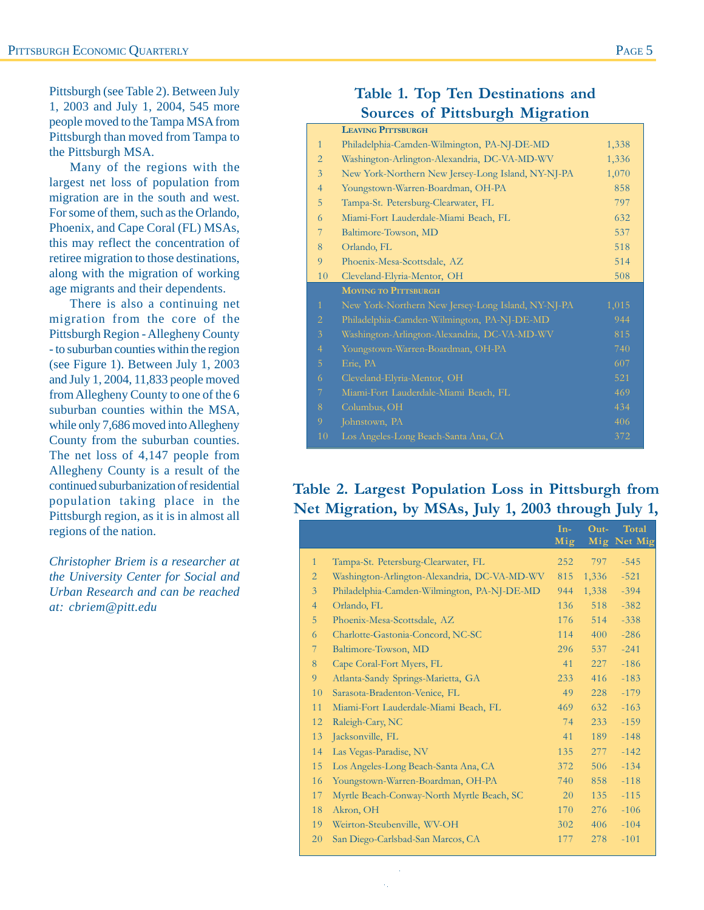Pittsburgh (see Table 2). Between July 1, 2003 and July 1, 2004, 545 more people moved to the Tampa MSA from Pittsburgh than moved from Tampa to the Pittsburgh MSA.

Many of the regions with the largest net loss of population from migration are in the south and west. For some of them, such as the Orlando, Phoenix, and Cape Coral (FL) MSAs, this may reflect the concentration of retiree migration to those destinations, along with the migration of working age migrants and their dependents.

There is also a continuing net migration from the core of the Pittsburgh Region - Allegheny County - to suburban counties within the region (see Figure 1). Between July 1, 2003 and July 1, 2004, 11,833 people moved from Allegheny County to one of the 6 suburban counties within the MSA, while only 7,686 moved into Allegheny County from the suburban counties. The net loss of 4,147 people from Allegheny County is a result of the continued suburbanization of residential population taking place in the Pittsburgh region, as it is in almost all regions of the nation.

*Christopher Briem is a researcher at the University Center for Social and Urban Research and can be reached at: cbriem@pitt.edu*

# **Table 1. Top Ten Destinations and Sources of Pittsburgh Migration**

|                | <b>LEAVING PITTSBURGH</b>                          |       |
|----------------|----------------------------------------------------|-------|
| $\mathbf{1}$   | Philadelphia-Camden-Wilmington, PA-NJ-DE-MD        | 1,338 |
| $\overline{2}$ | Washington-Arlington-Alexandria, DC-VA-MD-WV       | 1,336 |
| $\overline{3}$ | New York-Northern New Jersey-Long Island, NY-NJ-PA | 1,070 |
| $\overline{4}$ | Youngstown-Warren-Boardman, OH-PA                  | 858   |
| 5              | Tampa-St. Petersburg-Clearwater, FL                | 797   |
| 6              | Miami-Fort Lauderdale-Miami Beach, FL              | 632   |
| 7              | Baltimore-Towson, MD                               | 537   |
| 8              | Orlando, FL                                        | 518   |
| 9              | Phoenix-Mesa-Scottsdale, AZ                        | 514   |
| 10             | Cleveland-Elyria-Mentor, OH                        | 508   |
|                |                                                    |       |
|                | <b>MOVING TO PITTSBURGH</b>                        |       |
| $\mathbf{1}$   | New York-Northern New Jersey-Long Island, NY-NJ-PA | 1,015 |
| $\overline{2}$ | Philadelphia-Camden-Wilmington, PA-NJ-DE-MD        | 944   |
| $\mathfrak{Z}$ | Washington-Arlington-Alexandria, DC-VA-MD-WV       | 815   |
| $\overline{4}$ | Youngstown-Warren-Boardman, OH-PA                  | 740   |
| 5              | Erie, PA                                           | 607   |
| 6              | Cleveland-Elyria-Mentor, OH                        | 521   |
| 7              | Miami-Fort Lauderdale-Miami Beach, FL              | 469   |
| 8              | Columbus, OH                                       | 434   |
| 9              | Johnstown, PA                                      | 406   |

## **Table 2. Largest Population Loss in Pittsburgh from Net Migration, by MSAs, July 1, 2003 through July 1,**

|                |                                              | $In-$<br>Mig | Out-  | Total<br>Mig Net Mig |
|----------------|----------------------------------------------|--------------|-------|----------------------|
|                |                                              |              |       |                      |
| $\mathbf{1}$   | Tampa-St. Petersburg-Clearwater, FL          | 252          | 797   | $-545$               |
| $\overline{2}$ | Washington-Arlington-Alexandria, DC-VA-MD-WV | 815          | 1,336 | $-521$               |
| $\overline{3}$ | Philadelphia-Camden-Wilmington, PA-NJ-DE-MD  | 944          | 1,338 | $-394$               |
| $\overline{4}$ | Orlando, FL                                  | 136          | 518   | $-382$               |
| 5              | Phoenix-Mesa-Scottsdale, AZ                  | 176          | 514   | $-338$               |
| 6              | Charlotte-Gastonia-Concord, NC-SC            | 114          | 400   | $-286$               |
| 7              | Baltimore-Towson, MD                         | 296          | 537   | $-241$               |
| 8              | Cape Coral-Fort Myers, FL                    | 41           | 227   | $-186$               |
| 9              | Atlanta-Sandy Springs-Marietta, GA           | 233          | 416   | $-183$               |
| 10             | Sarasota-Bradenton-Venice, FL                | 49           | 228   | $-179$               |
| 11             | Miami-Fort Lauderdale-Miami Beach, FL        | 469          | 632   | $-163$               |
| 12             | Raleigh-Cary, NC                             | 74           | 233   | $-159$               |
| 13             | Jacksonville, FL                             | 41           | 189   | $-148$               |
| 14             | Las Vegas-Paradise, NV                       | 135          | 277   | $-142$               |
| 15             | Los Angeles-Long Beach-Santa Ana, CA         | 372          | 506   | $-134$               |
| 16             | Youngstown-Warren-Boardman, OH-PA            | 740          | 858   | $-118$               |
| 17             | Myrtle Beach-Conway-North Myrtle Beach, SC   | 20           | 135   | $-115$               |
| 18             | Akron, OH                                    | 170          | 276   | $-106$               |
| 19             | Weirton-Steubenville, WV-OH                  | 302          | 406   | $-104$               |
| 20             | San Diego-Carlsbad-San Marcos, CA            | 177          | 278   | $-101$               |
|                |                                              |              |       |                      |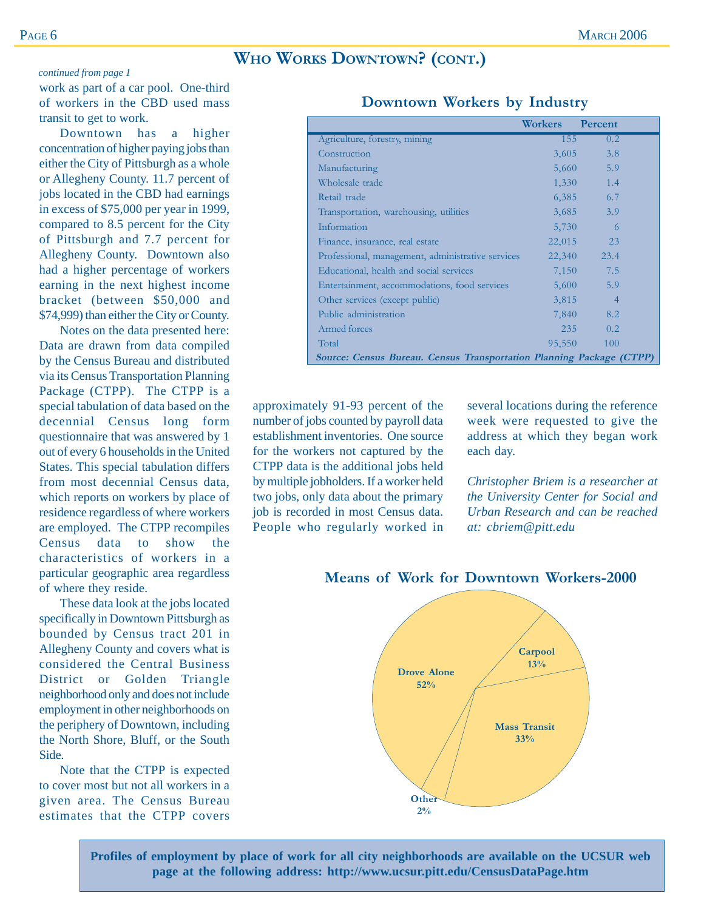## **WHO WORKS DOWNTOWN? (CONT.)**

#### *continued from page 1*

work as part of a car pool. One-third of workers in the CBD used mass transit to get to work.

Downtown has a higher concentration of higher paying jobs than either the City of Pittsburgh as a whole or Allegheny County. 11.7 percent of jobs located in the CBD had earnings in excess of \$75,000 per year in 1999, compared to 8.5 percent for the City of Pittsburgh and 7.7 percent for Allegheny County. Downtown also had a higher percentage of workers earning in the next highest income bracket (between \$50,000 and \$74,999) than either the City or County.

Notes on the data presented here: Data are drawn from data compiled by the Census Bureau and distributed via its Census Transportation Planning Package (CTPP). The CTPP is a special tabulation of data based on the decennial Census long form questionnaire that was answered by 1 out of every 6 households in the United States. This special tabulation differs from most decennial Census data, which reports on workers by place of residence regardless of where workers are employed. The CTPP recompiles Census data to show the characteristics of workers in a particular geographic area regardless of where they reside.

These data look at the jobs located specifically in Downtown Pittsburgh as bounded by Census tract 201 in Allegheny County and covers what is considered the Central Business District or Golden Triangle neighborhood only and does not include employment in other neighborhoods on the periphery of Downtown, including the North Shore, Bluff, or the South Side.

Note that the CTPP is expected to cover most but not all workers in a given area. The Census Bureau estimates that the CTPP covers

|                                                                      | Workers | Percent        |
|----------------------------------------------------------------------|---------|----------------|
| Agriculture, forestry, mining                                        | 155     | 0.2            |
| Construction                                                         | 3,605   | 3.8            |
| Manufacturing                                                        | 5,660   | 5.9            |
| Wholesale trade                                                      | 1,330   | 1.4            |
| Retail trade                                                         | 6,385   | 6.7            |
| Transportation, warehousing, utilities                               | 3,685   | 3.9            |
| Information                                                          | 5,730   | 6              |
| Finance, insurance, real estate                                      | 22,015  | 23             |
| Professional, management, administrative services                    | 22,340  | 23.4           |
| Educational, health and social services                              | 7,150   | 7.5            |
| Entertainment, accommodations, food services                         | 5,600   | 5.9            |
| Other services (except public)                                       | 3,815   | $\overline{4}$ |
| Public administration                                                | 7,840   | 8.2            |
| Armed forces                                                         | 235     | 0.2            |
| Total                                                                | 95,550  | 100            |
| Source: Census Bureau. Census Transportation Planning Package (CTPP) |         |                |

#### **Downtown Workers by Industry**

approximately 91-93 percent of the number of jobs counted by payroll data establishment inventories. One source for the workers not captured by the CTPP data is the additional jobs held by multiple jobholders. If a worker held two jobs, only data about the primary job is recorded in most Census data. People who regularly worked in several locations during the reference week were requested to give the address at which they began work each day.

*Christopher Briem is a researcher at the University Center for Social and Urban Research and can be reached at: cbriem@pitt.edu*



**Means of Work for Downtown Workers-2000**

**Profiles of employment by place of work for all city neighborhoods are available on the UCSUR web page at the following address: http://www.ucsur.pitt.edu/CensusDataPage.htm**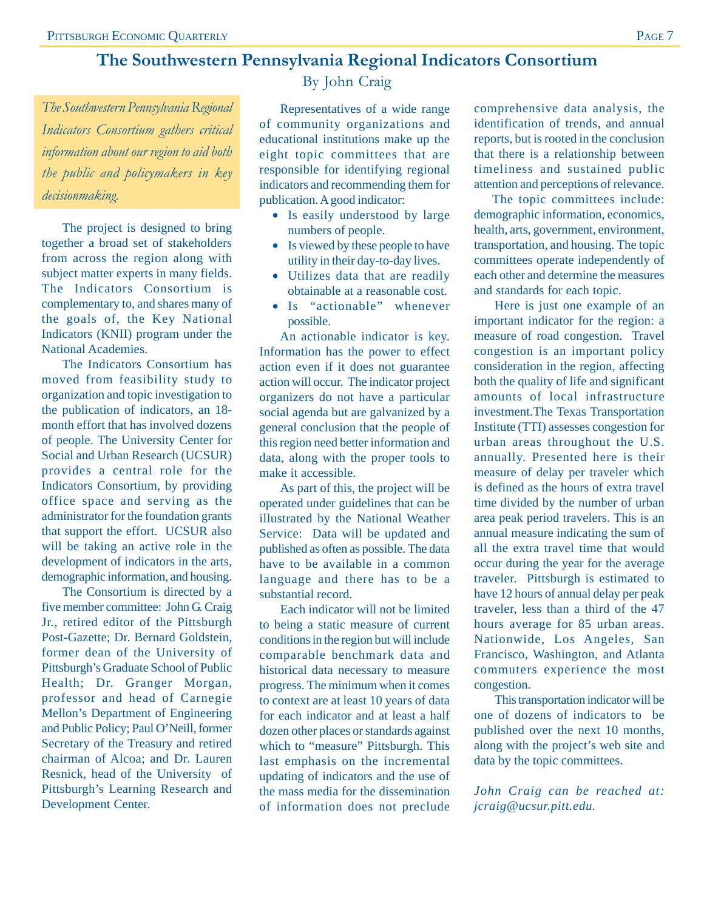# **The Southwestern Pennsylvania Regional Indicators Consortium**

*The Southwestern Pennsylvania Regional Indicators Consortium gathers critical information about our region to aid both the public and policymakers in key decisionmaking.*

The project is designed to bring together a broad set of stakeholders from across the region along with subject matter experts in many fields. The Indicators Consortium is complementary to, and shares many of the goals of, the Key National Indicators (KNII) program under the National Academies.

The Indicators Consortium has moved from feasibility study to organization and topic investigation to the publication of indicators, an 18 month effort that has involved dozens of people. The University Center for Social and Urban Research (UCSUR) provides a central role for the Indicators Consortium, by providing office space and serving as the administrator for the foundation grants that support the effort. UCSUR also will be taking an active role in the development of indicators in the arts, demographic information, and housing.

The Consortium is directed by a five member committee: John G. Craig Jr., retired editor of the Pittsburgh Post-Gazette; Dr. Bernard Goldstein, former dean of the University of Pittsburgh's Graduate School of Public Health; Dr. Granger Morgan, professor and head of Carnegie Mellon's Department of Engineering and Public Policy; Paul O'Neill, former Secretary of the Treasury and retired chairman of Alcoa; and Dr. Lauren Resnick, head of the University of Pittsburgh's Learning Research and Development Center.

By John Craig

Representatives of a wide range of community organizations and educational institutions make up the eight topic committees that are responsible for identifying regional indicators and recommending them for publication. A good indicator:

- Is easily understood by large numbers of people.
- Is viewed by these people to have utility in their day-to-day lives.
- Utilizes data that are readily obtainable at a reasonable cost.
- Is "actionable" whenever possible.

An actionable indicator is key. Information has the power to effect action even if it does not guarantee action will occur. The indicator project organizers do not have a particular social agenda but are galvanized by a general conclusion that the people of this region need better information and data, along with the proper tools to make it accessible.

As part of this, the project will be operated under guidelines that can be illustrated by the National Weather Service: Data will be updated and published as often as possible. The data have to be available in a common language and there has to be a substantial record.

Each indicator will not be limited to being a static measure of current conditions in the region but will include comparable benchmark data and historical data necessary to measure progress. The minimum when it comes to context are at least 10 years of data for each indicator and at least a half dozen other places or standards against which to "measure" Pittsburgh. This last emphasis on the incremental updating of indicators and the use of the mass media for the dissemination of information does not preclude comprehensive data analysis, the identification of trends, and annual reports, but is rooted in the conclusion that there is a relationship between timeliness and sustained public attention and perceptions of relevance.

The topic committees include: demographic information, economics, health, arts, government, environment, transportation, and housing. The topic committees operate independently of each other and determine the measures and standards for each topic.

Here is just one example of an important indicator for the region: a measure of road congestion. Travel congestion is an important policy consideration in the region, affecting both the quality of life and significant amounts of local infrastructure investment.The Texas Transportation Institute (TTI) assesses congestion for urban areas throughout the U.S. annually. Presented here is their measure of delay per traveler which is defined as the hours of extra travel time divided by the number of urban area peak period travelers. This is an annual measure indicating the sum of all the extra travel time that would occur during the year for the average traveler. Pittsburgh is estimated to have 12 hours of annual delay per peak traveler, less than a third of the 47 hours average for 85 urban areas. Nationwide, Los Angeles, San Francisco, Washington, and Atlanta commuters experience the most congestion.

This transportation indicator will be one of dozens of indicators to be published over the next 10 months, along with the project's web site and data by the topic committees.

*John Craig can be reached at: jcraig@ucsur.pitt.edu.*